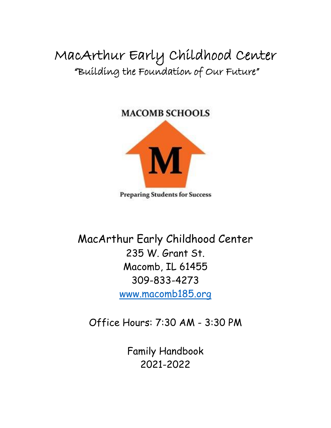MacArthur Early Childhood Center "Building the Foundation of Our Future"

# **MACOMB SCHOOLS**



**Preparing Students for Success** 

MacArthur Early Childhood Center 235 W. Grant St. Macomb, IL 61455 309-833-4273 [www.macomb185.org](http://www.macomb185.org/)

Office Hours: 7:30 AM - 3:30 PM

Family Handbook 2021-2022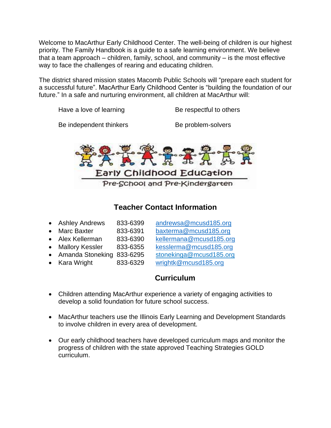Welcome to MacArthur Early Childhood Center. The well-being of children is our highest priority. The Family Handbook is a guide to a safe learning environment. We believe that a team approach  $-$  children, family, school, and community  $-$  is the most effective way to face the challenges of rearing and educating children.

The district shared mission states Macomb Public Schools will "prepare each student for a successful future". MacArthur Early Childhood Center is "building the foundation of our future." In a safe and nurturing environment, all children at MacArthur will:

Have a love of learning Be respectful to others

Be independent thinkers Be problem-solvers



## **Teacher Contact Information**

| • Ashley Andrews   | 833-6399 | andrewsa@mcusd185.org   |
|--------------------|----------|-------------------------|
| • Marc Baxter      | 833-6391 | baxterma@mcusd185.org   |
| • Alex Kellerman   | 833-6390 | kellermana@mcusd185.org |
| • Mallory Kessler  | 833-6355 | kesslerma@mcusd185.org  |
| • Amanda Stoneking | 833-6295 | stonekinga@mcusd185.org |
| • Kara Wright      | 833-6329 | wrightk@mcusd185.org    |

## **Curriculum**

- Children attending MacArthur experience a variety of engaging activities to develop a solid foundation for future school success.
- MacArthur teachers use the Illinois Early Learning and Development Standards to involve children in every area of development.
- Our early childhood teachers have developed curriculum maps and monitor the progress of children with the state approved Teaching Strategies GOLD curriculum.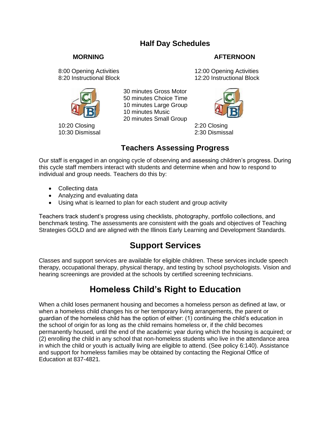## **Half Day Schedules**

#### **MORNING AFTERNOON**

8:00 Opening Activities **12:00 Opening Activities**<br>8:20 Instructional Block 8:20 Instructional Block 12:20 Instructional Block



10:20 Closing 2:20 Closing 10:30 Dismissal 2:30 Dismissal

 30 minutes Gross Motor 50 minutes Choice Time 10 minutes Large Group 10 minutes Music 20 minutes Small Group



## **Teachers Assessing Progress**

Our staff is engaged in an ongoing cycle of observing and assessing children's progress. During this cycle staff members interact with students and determine when and how to respond to individual and group needs. Teachers do this by:

- Collecting data
- Analyzing and evaluating data
- Using what is learned to plan for each student and group activity

Teachers track student's progress using checklists, photography, portfolio collections, and benchmark testing. The assessments are consistent with the goals and objectives of Teaching Strategies GOLD and are aligned with the Illinois Early Learning and Development Standards.

# **Support Services**

Classes and support services are available for eligible children. These services include speech therapy, occupational therapy, physical therapy, and testing by school psychologists. Vision and hearing screenings are provided at the schools by certified screening technicians.

# **Homeless Child's Right to Education**

When a child loses permanent housing and becomes a homeless person as defined at law, or when a homeless child changes his or her temporary living arrangements, the parent or guardian of the homeless child has the option of either: (1) continuing the child's education in the school of origin for as long as the child remains homeless or, if the child becomes permanently housed, until the end of the academic year during which the housing is acquired; or (2) enrolling the child in any school that non-homeless students who live in the attendance area in which the child or youth is actually living are eligible to attend. (See policy 6:140). Assistance and support for homeless families may be obtained by contacting the Regional Office of Education at 837-4821.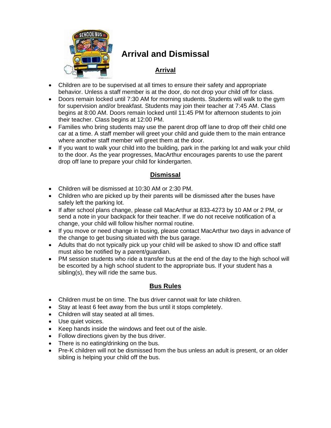

# **Arrival and Dismissal**

#### **Arrival**

- Children are to be supervised at all times to ensure their safety and appropriate behavior. Unless a staff member is at the door, do not drop your child off for class.
- Doors remain locked until 7:30 AM for morning students. Students will walk to the gym for supervision and/or breakfast. Students may join their teacher at 7:45 AM. Class begins at 8:00 AM. Doors remain locked until 11:45 PM for afternoon students to join their teacher. Class begins at 12:00 PM.
- Families who bring students may use the parent drop off lane to drop off their child one car at a time. A staff member will greet your child and guide them to the main entrance where another staff member will greet them at the door.
- If you want to walk your child into the building, park in the parking lot and walk your child to the door. As the year progresses, MacArthur encourages parents to use the parent drop off lane to prepare your child for kindergarten.

#### **Dismissal**

- Children will be dismissed at 10:30 AM or 2:30 PM.
- Children who are picked up by their parents will be dismissed after the buses have safely left the parking lot.
- If after school plans change, please call MacArthur at 833-4273 by 10 AM or 2 PM, or send a note in your backpack for their teacher. If we do not receive notification of a change, your child will follow his/her normal routine.
- If you move or need change in busing, please contact MacArthur two days in advance of the change to get busing situated with the bus garage.
- Adults that do not typically pick up your child will be asked to show ID and office staff must also be notified by a parent/guardian.
- PM session students who ride a transfer bus at the end of the day to the high school will be escorted by a high school student to the appropriate bus. If your student has a sibling(s), they will ride the same bus.

#### **Bus Rules**

- Children must be on time. The bus driver cannot wait for late children.
- Stay at least 6 feet away from the bus until it stops completely.
- Children will stay seated at all times.
- Use quiet voices.
- Keep hands inside the windows and feet out of the aisle.
- Follow directions given by the bus driver.
- There is no eating/drinking on the bus.
- Pre-K children will not be dismissed from the bus unless an adult is present, or an older sibling is helping your child off the bus.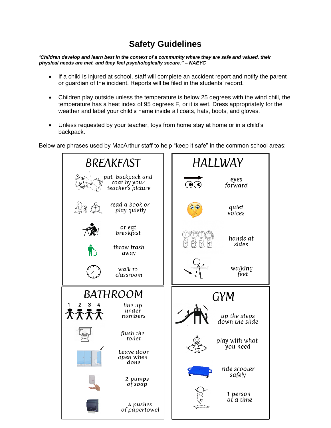# **Safety Guidelines**

*"Children develop and learn best in the context of a community where they are safe and valued, their physical needs are met, and they feel psychologically secure." – NAEYC*

- If a child is injured at school, staff will complete an accident report and notify the parent or guardian of the incident. Reports will be filed in the students' record.
- Children play outside unless the temperature is below 25 degrees with the wind chill, the temperature has a heat index of 95 degrees F, or it is wet. Dress appropriately for the weather and label your child's name inside all coats, hats, boots, and gloves.
- Unless requested by your teacher, toys from home stay at home or in a child's backpack.

Below are phrases used by MacArthur staff to help "keep it safe" in the common school areas:

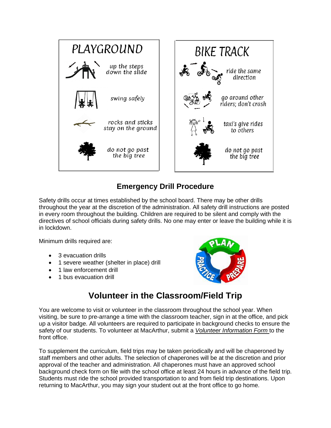

## **Emergency Drill Procedure**

Safety drills occur at times established by the school board. There may be other drills throughout the year at the discretion of the administration. All safety drill instructions are posted in every room throughout the building. Children are required to be silent and comply with the directives of school officials during safety drills. No one may enter or leave the building while it is in lockdown.

Minimum drills required are:

- 3 evacuation drills
- 1 severe weather (shelter in place) drill
- 1 law enforcement drill
- 1 bus evacuation drill



# **Volunteer in the Classroom/Field Trip**

You are welcome to visit or volunteer in the classroom throughout the school year. When visiting, be sure to pre-arrange a time with the classroom teacher, sign in at the office, and pick up a visitor badge. All volunteers are required to participate in background checks to ensure the safety of our students. To volunteer at MacArthur, submit a *Volunteer Information Form* to the front office.

To supplement the curriculum, field trips may be taken periodically and will be chaperoned by staff members and other adults. The selection of chaperones will be at the discretion and prior approval of the teacher and administration. All chaperones must have an approved school background check form on file with the school office at least 24 hours in advance of the field trip. Students must ride the school provided transportation to and from field trip destinations. Upon returning to MacArthur, you may sign your student out at the front office to go home.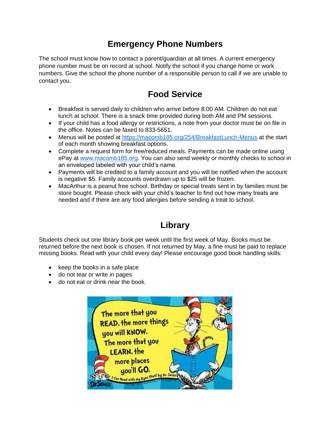# **Emergency Phone Numbers**

The school must know how to contact a parent/guardian at all times. A current emergency phone number must be on record at school. Notify the school if you change home or work numbers. Give the school the phone number of a responsible person to call if we are unable to contact you.

# **Food Service**

- Breakfast is served daily to children who arrive before 8:00 AM. Children do not eat lunch at school. There is a snack time provided during both AM and PM sessions.
- If your child has a food allergy or restrictions, a note from your doctor must be on file in the office. Notes can be faxed to 833-5651.
- Menus will be posted at<https://macomb185.org/254/BreakfastLunch-Menus> at the start of each month showing breakfast options.
- Complete a request form for free/reduced meals. Payments can be made online using ePay at [www.macomb185.org.](http://www.macomb185.org/) You can also send weekly or monthly checks to school in an enveloped labeled with your child's name.
- Payments will be credited to a family account and you will be notified when the account is negative \$5. Family accounts overdrawn up to \$25 will be frozen.
- MacArthur is a peanut free school. Birthday or special treats sent in by families must be store bought. Please check with your child's teacher to find out how many treats are needed and if there are any food allergies before sending a treat to school.

# **Library**

Students check out one library book per week until the first week of May. Books must be returned before the next book is chosen. If not returned by May, a fine must be paid to replace missing books. Read with your child every day! Please encourage good book handling skills:

- keep the books in a safe place
- do not tear or write in pages
- do not eat or drink near the book.

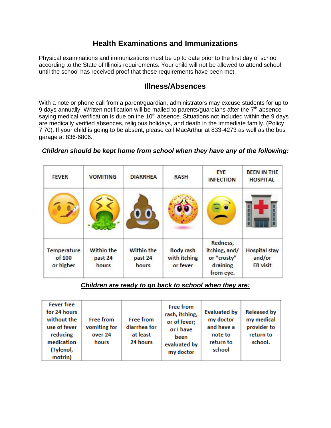## **Health Examinations and Immunizations**

Physical examinations and immunizations must be up to date prior to the first day of school according to the State of Illinois requirements. Your child will not be allowed to attend school until the school has received proof that these requirements have been met.

#### **Illness/Absences**

With a note or phone call from a parent/guardian, administrators may excuse students for up to 9 days annually. Written notification will be mailed to parents/guardians after the  $7<sup>th</sup>$  absence saying medical verification is due on the 10<sup>th</sup> absence. Situations not included within the 9 days are medically verified absences, religious holidays, and death in the immediate family. (Policy 7:70). If your child is going to be absent, please call MacArthur at 833-4273 as well as the bus garage at 836-6806.

#### *Children should be kept home from school when they have any of the following:*

| <b>FEVER</b>                       | <b>VOMITING</b>                       | <b>DIARRHEA</b>                       | <b>RASH</b>                                  | EYE<br><b>INFECTION</b>                               | <b>BEEN IN THE</b><br><b>HOSPITAL</b>             |
|------------------------------------|---------------------------------------|---------------------------------------|----------------------------------------------|-------------------------------------------------------|---------------------------------------------------|
|                                    |                                       |                                       |                                              |                                                       |                                                   |
|                                    |                                       |                                       |                                              | Redness,                                              |                                                   |
| Temperature<br>of 100<br>or higher | <b>Within the</b><br>past 24<br>hours | <b>Within the</b><br>past 24<br>hours | <b>Body rash</b><br>with itching<br>or fever | itching, and/<br>or "crusty"<br>draining<br>from eye. | <b>Hospital stay</b><br>and/or<br><b>ER</b> visit |

#### *Children are ready to go back to school when they are:*

| <b>Fever free</b><br>for 24 hours<br>without the<br>use of fever<br>reducing<br>medication<br>(Tylenol,<br>motrin) | <b>Free from</b><br>vomiting for<br>over 24<br>hours | <b>Free from</b><br>diarrhea for<br>at least<br>24 hours | <b>Free from</b><br>rash, itching,<br>or of fever;<br>or I have<br>been<br>evaluated by<br>my doctor | <b>Evaluated by</b><br>my doctor<br>and have a<br>note to<br>return to<br>school | <b>Released by</b><br>my medical<br>provider to<br>return to<br>school. |
|--------------------------------------------------------------------------------------------------------------------|------------------------------------------------------|----------------------------------------------------------|------------------------------------------------------------------------------------------------------|----------------------------------------------------------------------------------|-------------------------------------------------------------------------|
|--------------------------------------------------------------------------------------------------------------------|------------------------------------------------------|----------------------------------------------------------|------------------------------------------------------------------------------------------------------|----------------------------------------------------------------------------------|-------------------------------------------------------------------------|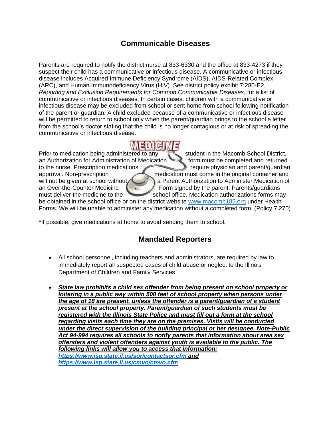## **Communicable Diseases**

Parents are required to notify the district nurse at 833-6330 and the office at 833-4273 if they suspect their child has a communicative or infectious disease. A communicative or infectious disease includes Acquired Immune Deficiency Syndrome (AIDS), AIDS-Related Complex (ARC), and Human Immunodeficiency Virus (HIV). See district policy exhibit 7:280-E2, *Reporting and Exclusion Requirements for Common Communicable Diseases*, for a list of communicative or infectious diseases. In certain cases, children with a communicative or infectious disease may be excluded from school or sent home from school following notification of the parent or guardian. A child excluded because of a communicative or infectious disease will be permitted to return to school only when the parent/guardian brings to the school a letter from the school's doctor stating that the child is no longer contagious or at risk of spreading the communicative or infectious disease.

Prior to medication being administered to any student in the Macomb School District, an Authorization for Administration of Medication **form must be completed and returned** to the nurse. Prescription medications require physician and parent/guardian approval. Non-prescription must come in the original container and will not be given at school without a Parent Authorization to Administer Medication of an Over-the-Counter Medicine  $\left\{\cdot\right\}$  Form signed by the parent. Parents/guardians must deliver the medicine to the school office. Medication authorizations forms may be obtained in the school office or on the district website [www.macomb185.org](http://www.macomb185.org/) under Health Forms. We will be unable to administer any medication without a completed form. (Policy 7:270)

\*If possible, give medications at home to avoid sending them to school.

#### **Mandated Reporters**

- All school personnel, including teachers and administrators, are required by law to immediately report all suspected cases of child abuse or neglect to the Illinois Department of Children and Family Services.
- *State law prohibits a child sex offender from being present on school property or loitering in a public way within 500 feet of school property when persons under the age of 18 are present, unless the offender is a parent/guardian of a student present at the school property. Parent/guardian of such students must be registered with the Illinois State Police and must fill out a form at the school regarding visits each time they are on the premises. Visits will be conducted under the direct supervision of the building principal or her designee. Note-Public Act 94-994 requires all schools to notify parents that information about area sex offenders and violent offenders against youth is available to the public. The following links will allow you to access that information: <https://www.isp.state.il.us/sor/contactsor.cfm> and <https://www.isp.state.il.us/cmvo/cmvo.cfm>*